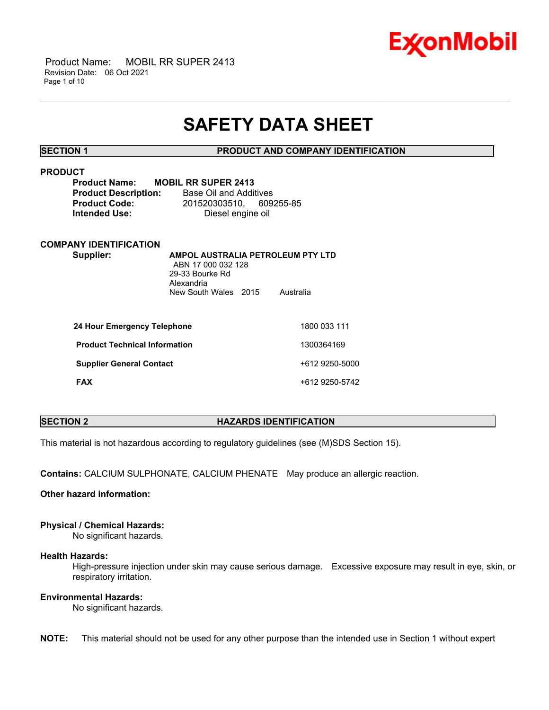

 Product Name: MOBIL RR SUPER 2413 Revision Date: 06 Oct 2021 Page 1 of 10

# **SAFETY DATA SHEET**

\_\_\_\_\_\_\_\_\_\_\_\_\_\_\_\_\_\_\_\_\_\_\_\_\_\_\_\_\_\_\_\_\_\_\_\_\_\_\_\_\_\_\_\_\_\_\_\_\_\_\_\_\_\_\_\_\_\_\_\_\_\_\_\_\_\_\_\_\_\_\_\_\_\_\_\_\_\_\_\_\_\_\_\_\_\_\_\_\_\_\_\_\_\_\_\_\_\_\_\_\_\_\_\_\_\_\_\_\_\_\_\_\_\_\_\_\_\_

### **SECTION 1 PRODUCT AND COMPANY IDENTIFICATION**

# **PRODUCT**

| <b>Product Name:</b>        | <b>MOBIL RR SUPER 2413</b> |  |
|-----------------------------|----------------------------|--|
| <b>Product Description:</b> | Base Oil and Additives     |  |
| <b>Product Code:</b>        | 201520303510. 609255-85    |  |
| <b>Intended Use:</b>        | Diesel engine oil          |  |

# **COMPANY IDENTIFICATION**

**Supplier: AMPOL AUSTRALIA PETROLEUM PTY LTD** ABN 17 000 032 128 29-33 Bourke Rd Alexandria New South Wales 2015 Australia

| 24 Hour Emergency Telephone          | 1800 033 111   |
|--------------------------------------|----------------|
| <b>Product Technical Information</b> | 1300364169     |
| <b>Supplier General Contact</b>      | +612 9250-5000 |
| <b>FAX</b>                           | +612 9250-5742 |

# **SECTION 2 HAZARDS IDENTIFICATION**

This material is not hazardous according to regulatory guidelines (see (M)SDS Section 15).

**Contains:** CALCIUM SULPHONATE, CALCIUM PHENATE May produce an allergic reaction.

# **Other hazard information:**

# **Physical / Chemical Hazards:**

No significant hazards.

#### **Health Hazards:**

High-pressure injection under skin may cause serious damage. Excessive exposure may result in eye, skin, or respiratory irritation.

# **Environmental Hazards:**

No significant hazards.

**NOTE:** This material should not be used for any other purpose than the intended use in Section 1 without expert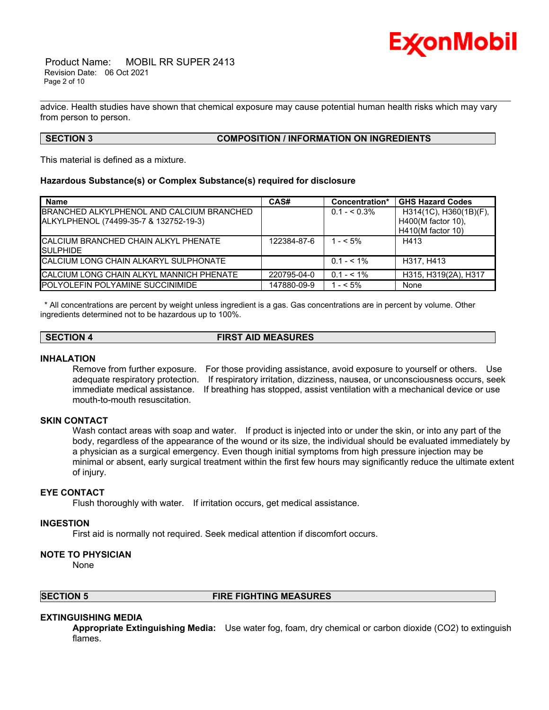

 Product Name: MOBIL RR SUPER 2413 Revision Date: 06 Oct 2021 Page 2 of 10

advice. Health studies have shown that chemical exposure may cause potential human health risks which may vary from person to person.

\_\_\_\_\_\_\_\_\_\_\_\_\_\_\_\_\_\_\_\_\_\_\_\_\_\_\_\_\_\_\_\_\_\_\_\_\_\_\_\_\_\_\_\_\_\_\_\_\_\_\_\_\_\_\_\_\_\_\_\_\_\_\_\_\_\_\_\_\_\_\_\_\_\_\_\_\_\_\_\_\_\_\_\_\_\_\_\_\_\_\_\_\_\_\_\_\_\_\_\_\_\_\_\_\_\_\_\_\_\_\_\_\_\_\_\_\_\_

### **SECTION 3 COMPOSITION / INFORMATION ON INGREDIENTS**

This material is defined as a mixture.

#### **Hazardous Substance(s) or Complex Substance(s) required for disclosure**

| <b>Name</b>                                      | CAS#        | Concentration* | <b>GHS Hazard Codes</b> |
|--------------------------------------------------|-------------|----------------|-------------------------|
| BRANCHED ALKYLPHENOL AND CALCIUM BRANCHED        |             | $0.1 - 5.3\%$  | H314(1C), H360(1B)(F),  |
| ALKYLPHENOL (74499-35-7 & 132752-19-3)           |             |                | H400(M factor 10),      |
|                                                  |             |                | H410(M factor 10)       |
| <b>CALCIUM BRANCHED CHAIN ALKYL PHENATE</b>      | 122384-87-6 | $1 - 5\%$      | H413                    |
| <b>SULPHIDE</b>                                  |             |                |                         |
| CALCIUM LONG CHAIN ALKARYL SULPHONATE            |             | $0.1 - 5.1\%$  | H317, H413              |
| <b>ICALCIUM LONG CHAIN ALKYL MANNICH PHENATE</b> | 220795-04-0 | $0.1 - 5.1\%$  | H315, H319(2A), H317    |
| <b>POLYOLEFIN POLYAMINE SUCCINIMIDE</b>          | 147880-09-9 | $1 - 5\%$      | None                    |

\* All concentrations are percent by weight unless ingredient is a gas. Gas concentrations are in percent by volume. Other ingredients determined not to be hazardous up to 100%.

# **SECTION 4 FIRST AID MEASURES**

#### **INHALATION**

Remove from further exposure. For those providing assistance, avoid exposure to yourself or others. Use adequate respiratory protection. If respiratory irritation, dizziness, nausea, or unconsciousness occurs, seek immediate medical assistance. If breathing has stopped, assist ventilation with a mechanical device or use mouth-to-mouth resuscitation.

### **SKIN CONTACT**

Wash contact areas with soap and water. If product is injected into or under the skin, or into any part of the body, regardless of the appearance of the wound or its size, the individual should be evaluated immediately by a physician as a surgical emergency. Even though initial symptoms from high pressure injection may be minimal or absent, early surgical treatment within the first few hours may significantly reduce the ultimate extent of injury.

# **EYE CONTACT**

Flush thoroughly with water. If irritation occurs, get medical assistance.

#### **INGESTION**

First aid is normally not required. Seek medical attention if discomfort occurs.

#### **NOTE TO PHYSICIAN**

None

#### **SECTION 5 FIRE FIGHTING MEASURES**

# **EXTINGUISHING MEDIA**

**Appropriate Extinguishing Media:** Use water fog, foam, dry chemical or carbon dioxide (CO2) to extinguish flames.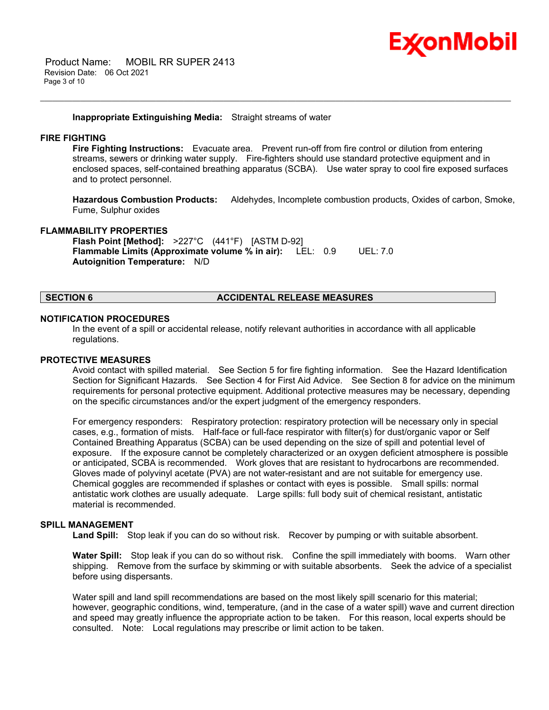

 Product Name: MOBIL RR SUPER 2413 Revision Date: 06 Oct 2021 Page 3 of 10

#### **Inappropriate Extinguishing Media:** Straight streams of water

### **FIRE FIGHTING**

**Fire Fighting Instructions:** Evacuate area. Prevent run-off from fire control or dilution from entering streams, sewers or drinking water supply. Fire-fighters should use standard protective equipment and in enclosed spaces, self-contained breathing apparatus (SCBA). Use water spray to cool fire exposed surfaces and to protect personnel.

\_\_\_\_\_\_\_\_\_\_\_\_\_\_\_\_\_\_\_\_\_\_\_\_\_\_\_\_\_\_\_\_\_\_\_\_\_\_\_\_\_\_\_\_\_\_\_\_\_\_\_\_\_\_\_\_\_\_\_\_\_\_\_\_\_\_\_\_\_\_\_\_\_\_\_\_\_\_\_\_\_\_\_\_\_\_\_\_\_\_\_\_\_\_\_\_\_\_\_\_\_\_\_\_\_\_\_\_\_\_\_\_\_\_\_\_\_\_

**Hazardous Combustion Products:** Aldehydes, Incomplete combustion products, Oxides of carbon, Smoke, Fume, Sulphur oxides

#### **FLAMMABILITY PROPERTIES**

**Flash Point [Method]:** >227°C (441°F) [ASTM D-92] **Flammable Limits (Approximate volume % in air):** LEL: 0.9 UEL: 7.0 **Autoignition Temperature:** N/D

#### **SECTION 6 ACCIDENTAL RELEASE MEASURES**

#### **NOTIFICATION PROCEDURES**

In the event of a spill or accidental release, notify relevant authorities in accordance with all applicable regulations.

#### **PROTECTIVE MEASURES**

Avoid contact with spilled material. See Section 5 for fire fighting information. See the Hazard Identification Section for Significant Hazards. See Section 4 for First Aid Advice. See Section 8 for advice on the minimum requirements for personal protective equipment. Additional protective measures may be necessary, depending on the specific circumstances and/or the expert judgment of the emergency responders.

For emergency responders: Respiratory protection: respiratory protection will be necessary only in special cases, e.g., formation of mists. Half-face or full-face respirator with filter(s) for dust/organic vapor or Self Contained Breathing Apparatus (SCBA) can be used depending on the size of spill and potential level of exposure. If the exposure cannot be completely characterized or an oxygen deficient atmosphere is possible or anticipated, SCBA is recommended. Work gloves that are resistant to hydrocarbons are recommended. Gloves made of polyvinyl acetate (PVA) are not water-resistant and are not suitable for emergency use. Chemical goggles are recommended if splashes or contact with eyes is possible. Small spills: normal antistatic work clothes are usually adequate. Large spills: full body suit of chemical resistant, antistatic material is recommended.

# **SPILL MANAGEMENT**

**Land Spill:** Stop leak if you can do so without risk. Recover by pumping or with suitable absorbent.

**Water Spill:** Stop leak if you can do so without risk. Confine the spill immediately with booms. Warn other shipping. Remove from the surface by skimming or with suitable absorbents. Seek the advice of a specialist before using dispersants.

Water spill and land spill recommendations are based on the most likely spill scenario for this material; however, geographic conditions, wind, temperature, (and in the case of a water spill) wave and current direction and speed may greatly influence the appropriate action to be taken. For this reason, local experts should be consulted. Note: Local regulations may prescribe or limit action to be taken.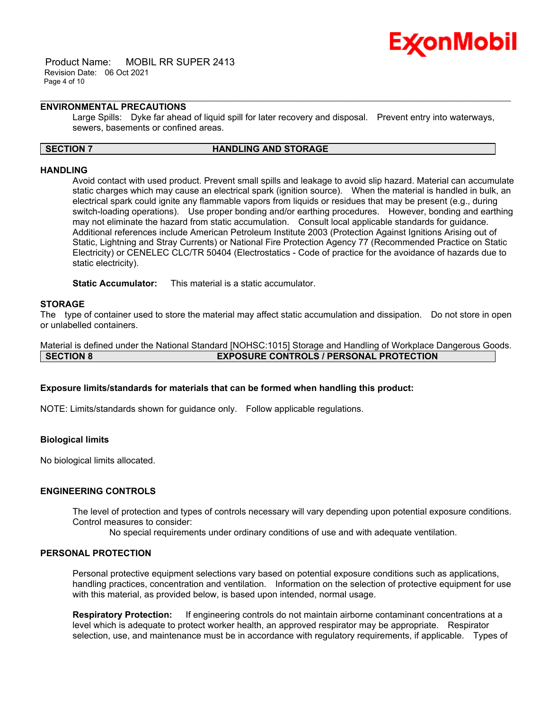

 Product Name: MOBIL RR SUPER 2413 Revision Date: 06 Oct 2021 Page 4 of 10

# **ENVIRONMENTAL PRECAUTIONS**

Large Spills: Dyke far ahead of liquid spill for later recovery and disposal. Prevent entry into waterways, sewers, basements or confined areas.

\_\_\_\_\_\_\_\_\_\_\_\_\_\_\_\_\_\_\_\_\_\_\_\_\_\_\_\_\_\_\_\_\_\_\_\_\_\_\_\_\_\_\_\_\_\_\_\_\_\_\_\_\_\_\_\_\_\_\_\_\_\_\_\_\_\_\_\_\_\_\_\_\_\_\_\_\_\_\_\_\_\_\_\_\_\_\_\_\_\_\_\_\_\_\_\_\_\_\_\_\_\_\_\_\_\_\_\_\_\_\_\_\_\_\_\_\_\_

#### **SECTION 7 HANDLING AND STORAGE**

#### **HANDLING**

Avoid contact with used product. Prevent small spills and leakage to avoid slip hazard. Material can accumulate static charges which may cause an electrical spark (ignition source). When the material is handled in bulk, an electrical spark could ignite any flammable vapors from liquids or residues that may be present (e.g., during switch-loading operations). Use proper bonding and/or earthing procedures. However, bonding and earthing may not eliminate the hazard from static accumulation. Consult local applicable standards for guidance. Additional references include American Petroleum Institute 2003 (Protection Against Ignitions Arising out of Static, Lightning and Stray Currents) or National Fire Protection Agency 77 (Recommended Practice on Static Electricity) or CENELEC CLC/TR 50404 (Electrostatics - Code of practice for the avoidance of hazards due to static electricity).

**Static Accumulator:** This material is a static accumulator.

#### **STORAGE**

The type of container used to store the material may affect static accumulation and dissipation. Do not store in open or unlabelled containers.

Material is defined under the National Standard [NOHSC:1015] Storage and Handling of Workplace Dangerous Goods. **SECTION 8 EXPOSURE CONTROLS / PERSONAL PROTECTION**

# **Exposure limits/standards for materials that can be formed when handling this product:**

NOTE: Limits/standards shown for guidance only. Follow applicable regulations.

# **Biological limits**

No biological limits allocated.

# **ENGINEERING CONTROLS**

The level of protection and types of controls necessary will vary depending upon potential exposure conditions. Control measures to consider:

No special requirements under ordinary conditions of use and with adequate ventilation.

# **PERSONAL PROTECTION**

Personal protective equipment selections vary based on potential exposure conditions such as applications, handling practices, concentration and ventilation. Information on the selection of protective equipment for use with this material, as provided below, is based upon intended, normal usage.

**Respiratory Protection:** If engineering controls do not maintain airborne contaminant concentrations at a level which is adequate to protect worker health, an approved respirator may be appropriate. Respirator selection, use, and maintenance must be in accordance with regulatory requirements, if applicable. Types of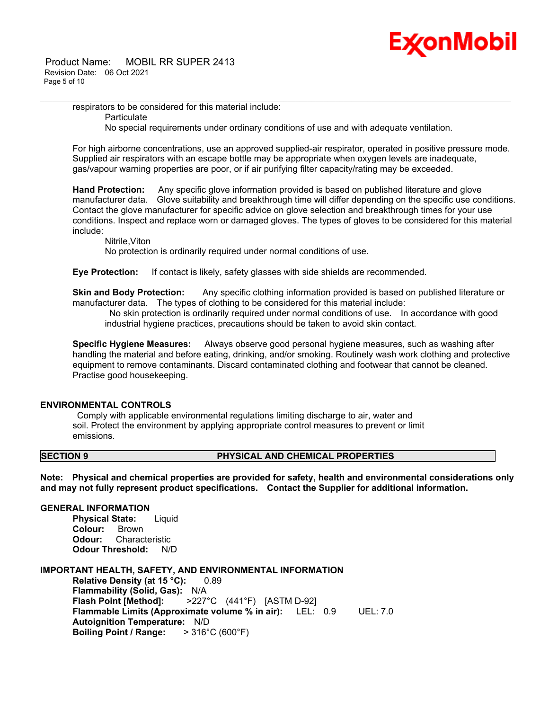

respirators to be considered for this material include: **Particulate** No special requirements under ordinary conditions of use and with adequate ventilation.

For high airborne concentrations, use an approved supplied-air respirator, operated in positive pressure mode. Supplied air respirators with an escape bottle may be appropriate when oxygen levels are inadequate, gas/vapour warning properties are poor, or if air purifying filter capacity/rating may be exceeded.

\_\_\_\_\_\_\_\_\_\_\_\_\_\_\_\_\_\_\_\_\_\_\_\_\_\_\_\_\_\_\_\_\_\_\_\_\_\_\_\_\_\_\_\_\_\_\_\_\_\_\_\_\_\_\_\_\_\_\_\_\_\_\_\_\_\_\_\_\_\_\_\_\_\_\_\_\_\_\_\_\_\_\_\_\_\_\_\_\_\_\_\_\_\_\_\_\_\_\_\_\_\_\_\_\_\_\_\_\_\_\_\_\_\_\_\_\_\_

**Hand Protection:** Any specific glove information provided is based on published literature and glove manufacturer data. Glove suitability and breakthrough time will differ depending on the specific use conditions. Contact the glove manufacturer for specific advice on glove selection and breakthrough times for your use conditions. Inspect and replace worn or damaged gloves. The types of gloves to be considered for this material include:

Nitrile,Viton

No protection is ordinarily required under normal conditions of use.

**Eye Protection:** If contact is likely, safety glasses with side shields are recommended.

**Skin and Body Protection:** Any specific clothing information provided is based on published literature or manufacturer data. The types of clothing to be considered for this material include:

No skin protection is ordinarily required under normal conditions of use. In accordance with good industrial hygiene practices, precautions should be taken to avoid skin contact.

**Specific Hygiene Measures:** Always observe good personal hygiene measures, such as washing after handling the material and before eating, drinking, and/or smoking. Routinely wash work clothing and protective equipment to remove contaminants. Discard contaminated clothing and footwear that cannot be cleaned. Practise good housekeeping.

# **ENVIRONMENTAL CONTROLS**

Comply with applicable environmental regulations limiting discharge to air, water and soil. Protect the environment by applying appropriate control measures to prevent or limit emissions.

# **SECTION 9 PHYSICAL AND CHEMICAL PROPERTIES**

**Note: Physical and chemical properties are provided for safety, health and environmental considerations only and may not fully represent product specifications. Contact the Supplier for additional information.**

### **GENERAL INFORMATION**

**Physical State:** Liquid **Colour:** Brown **Odour:** Characteristic **Odour Threshold:** N/D

#### **IMPORTANT HEALTH, SAFETY, AND ENVIRONMENTAL INFORMATION**

**Relative Density (at 15 °C):** 0.89 **Flammability (Solid, Gas):** N/A **Flash Point [Method]:** >227°C (441°F) [ASTM D-92] **Flammable Limits (Approximate volume % in air):** LEL: 0.9 UEL: 7.0 **Autoignition Temperature:** N/D **Boiling Point / Range:** > 316°C (600°F)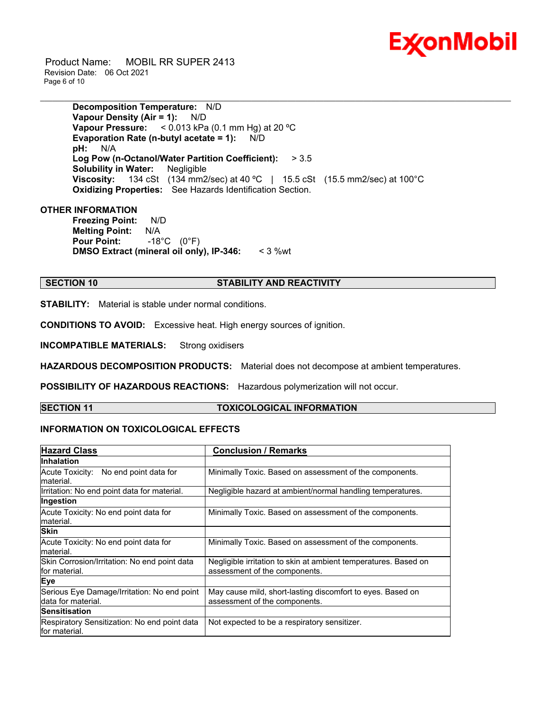

 Product Name: MOBIL RR SUPER 2413 Revision Date: 06 Oct 2021 Page 6 of 10

> **Decomposition Temperature:** N/D **Vapour Density (Air = 1):** N/D **Vapour Pressure:** < 0.013 kPa (0.1 mm Hg) at 20 ºC **Evaporation Rate (n-butyl acetate = 1):** N/D **pH:** N/A **Log Pow (n-Octanol/Water Partition Coefficient):** > 3.5 **Solubility in Water:** Negligible **Viscosity:** 134 cSt (134 mm2/sec) at 40 ºC | 15.5 cSt (15.5 mm2/sec) at 100°C **Oxidizing Properties:** See Hazards Identification Section.

\_\_\_\_\_\_\_\_\_\_\_\_\_\_\_\_\_\_\_\_\_\_\_\_\_\_\_\_\_\_\_\_\_\_\_\_\_\_\_\_\_\_\_\_\_\_\_\_\_\_\_\_\_\_\_\_\_\_\_\_\_\_\_\_\_\_\_\_\_\_\_\_\_\_\_\_\_\_\_\_\_\_\_\_\_\_\_\_\_\_\_\_\_\_\_\_\_\_\_\_\_\_\_\_\_\_\_\_\_\_\_\_\_\_\_\_\_\_

# **OTHER INFORMATION**

**Freezing Point:** N/D **Melting Point:** N/A **Pour Point:** -18°C (0°F) **DMSO Extract (mineral oil only), IP-346:** < 3 %wt

# **SECTION 10 STABILITY AND REACTIVITY**

**STABILITY:** Material is stable under normal conditions.

**CONDITIONS TO AVOID:** Excessive heat. High energy sources of ignition.

**INCOMPATIBLE MATERIALS:** Strong oxidisers

**HAZARDOUS DECOMPOSITION PRODUCTS:** Material does not decompose at ambient temperatures.

**POSSIBILITY OF HAZARDOUS REACTIONS:** Hazardous polymerization will not occur.

# **SECTION 11 TOXICOLOGICAL INFORMATION**

# **INFORMATION ON TOXICOLOGICAL EFFECTS**

| <b>Hazard Class</b>                                               | <b>Conclusion / Remarks</b>                                                                      |  |
|-------------------------------------------------------------------|--------------------------------------------------------------------------------------------------|--|
| Inhalation                                                        |                                                                                                  |  |
| Acute Toxicity: No end point data for<br>lmaterial.               | Minimally Toxic. Based on assessment of the components.                                          |  |
| Irritation: No end point data for material.                       | Negligible hazard at ambient/normal handling temperatures.                                       |  |
| Ingestion                                                         |                                                                                                  |  |
| Acute Toxicity: No end point data for<br>material.                | Minimally Toxic. Based on assessment of the components.                                          |  |
| <b>Skin</b>                                                       |                                                                                                  |  |
| Acute Toxicity: No end point data for<br>material.                | Minimally Toxic. Based on assessment of the components.                                          |  |
| Skin Corrosion/Irritation: No end point data<br>for material.     | Negligible irritation to skin at ambient temperatures. Based on<br>assessment of the components. |  |
| Eye                                                               |                                                                                                  |  |
| Serious Eye Damage/Irritation: No end point<br>data for material. | May cause mild, short-lasting discomfort to eyes. Based on<br>assessment of the components.      |  |
| Sensitisation                                                     |                                                                                                  |  |
| Respiratory Sensitization: No end point data<br>lfor material.    | Not expected to be a respiratory sensitizer.                                                     |  |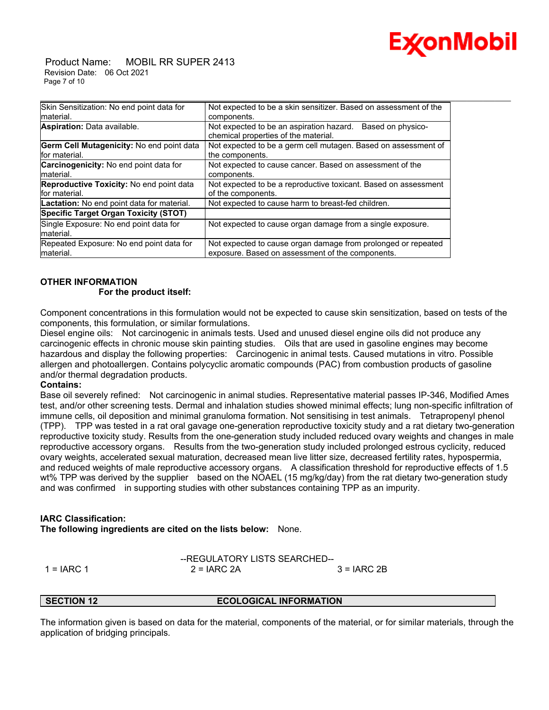

 Product Name: MOBIL RR SUPER 2413 Revision Date: 06 Oct 2021 Page 7 of 10

| Not expected to be a skin sensitizer. Based on assessment of the                                                  |  |
|-------------------------------------------------------------------------------------------------------------------|--|
| components.                                                                                                       |  |
| Not expected to be an aspiration hazard. Based on physico-<br>chemical properties of the material.                |  |
| Not expected to be a germ cell mutagen. Based on assessment of                                                    |  |
| the components.                                                                                                   |  |
| Not expected to cause cancer. Based on assessment of the                                                          |  |
| components.                                                                                                       |  |
| Not expected to be a reproductive toxicant. Based on assessment                                                   |  |
| of the components.                                                                                                |  |
| Not expected to cause harm to breast-fed children.                                                                |  |
|                                                                                                                   |  |
| Not expected to cause organ damage from a single exposure.                                                        |  |
| Not expected to cause organ damage from prolonged or repeated<br>exposure. Based on assessment of the components. |  |
|                                                                                                                   |  |

# **OTHER INFORMATION For the product itself:**

Component concentrations in this formulation would not be expected to cause skin sensitization, based on tests of the components, this formulation, or similar formulations.

Diesel engine oils: Not carcinogenic in animals tests. Used and unused diesel engine oils did not produce any carcinogenic effects in chronic mouse skin painting studies. Oils that are used in gasoline engines may become hazardous and display the following properties: Carcinogenic in animal tests. Caused mutations in vitro. Possible allergen and photoallergen. Contains polycyclic aromatic compounds (PAC) from combustion products of gasoline and/or thermal degradation products.

# **Contains:**

Base oil severely refined: Not carcinogenic in animal studies. Representative material passes IP-346, Modified Ames test, and/or other screening tests. Dermal and inhalation studies showed minimal effects; lung non-specific infiltration of immune cells, oil deposition and minimal granuloma formation. Not sensitising in test animals. Tetrapropenyl phenol (TPP). TPP was tested in a rat oral gavage one-generation reproductive toxicity study and a rat dietary two-generation reproductive toxicity study. Results from the one-generation study included reduced ovary weights and changes in male reproductive accessory organs. Results from the two-generation study included prolonged estrous cyclicity, reduced ovary weights, accelerated sexual maturation, decreased mean live litter size, decreased fertility rates, hypospermia, and reduced weights of male reproductive accessory organs. A classification threshold for reproductive effects of 1.5 wt% TPP was derived by the supplier based on the NOAEL (15 mg/kg/day) from the rat dietary two-generation study and was confirmed in supporting studies with other substances containing TPP as an impurity.

# **IARC Classification:**

**The following ingredients are cited on the lists below:** None.

$$
-REGULATORY LISTS SEARCHED-1 = IARC 1
$$
 2 = IARC 2A 3 = IARC 2B

**ECOLOGICAL INFORMATION** 

The information given is based on data for the material, components of the material, or for similar materials, through the application of bridging principals.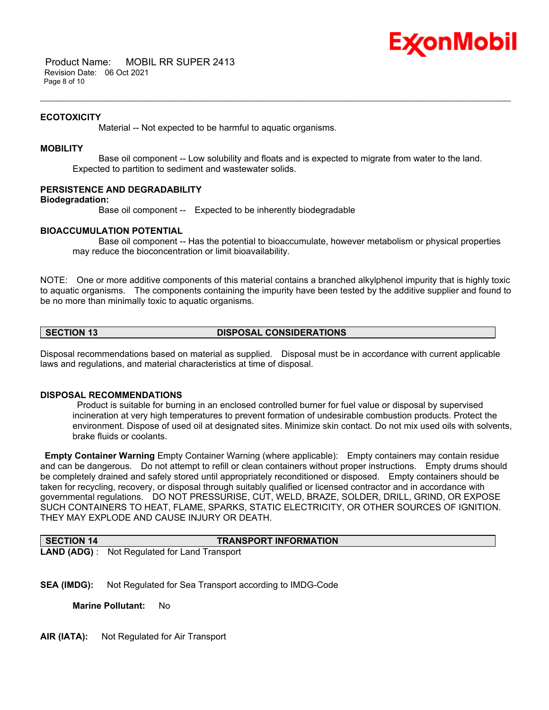

 Product Name: MOBIL RR SUPER 2413 Revision Date: 06 Oct 2021 Page 8 of 10

#### **ECOTOXICITY**

Material -- Not expected to be harmful to aquatic organisms.

### **MOBILITY**

 Base oil component -- Low solubility and floats and is expected to migrate from water to the land. Expected to partition to sediment and wastewater solids.

\_\_\_\_\_\_\_\_\_\_\_\_\_\_\_\_\_\_\_\_\_\_\_\_\_\_\_\_\_\_\_\_\_\_\_\_\_\_\_\_\_\_\_\_\_\_\_\_\_\_\_\_\_\_\_\_\_\_\_\_\_\_\_\_\_\_\_\_\_\_\_\_\_\_\_\_\_\_\_\_\_\_\_\_\_\_\_\_\_\_\_\_\_\_\_\_\_\_\_\_\_\_\_\_\_\_\_\_\_\_\_\_\_\_\_\_\_\_

# **PERSISTENCE AND DEGRADABILITY**

**Biodegradation:**

Base oil component -- Expected to be inherently biodegradable

#### **BIOACCUMULATION POTENTIAL**

 Base oil component -- Has the potential to bioaccumulate, however metabolism or physical properties may reduce the bioconcentration or limit bioavailability.

NOTE: One or more additive components of this material contains a branched alkylphenol impurity that is highly toxic to aquatic organisms. The components containing the impurity have been tested by the additive supplier and found to be no more than minimally toxic to aquatic organisms.

#### **SECTION 13 DISPOSAL CONSIDERATIONS**

Disposal recommendations based on material as supplied. Disposal must be in accordance with current applicable laws and regulations, and material characteristics at time of disposal.

# **DISPOSAL RECOMMENDATIONS**

Product is suitable for burning in an enclosed controlled burner for fuel value or disposal by supervised incineration at very high temperatures to prevent formation of undesirable combustion products. Protect the environment. Dispose of used oil at designated sites. Minimize skin contact. Do not mix used oils with solvents, brake fluids or coolants.

**Empty Container Warning** Empty Container Warning (where applicable): Empty containers may contain residue and can be dangerous. Do not attempt to refill or clean containers without proper instructions. Empty drums should be completely drained and safely stored until appropriately reconditioned or disposed. Empty containers should be taken for recycling, recovery, or disposal through suitably qualified or licensed contractor and in accordance with governmental regulations. DO NOT PRESSURISE, CUT, WELD, BRAZE, SOLDER, DRILL, GRIND, OR EXPOSE SUCH CONTAINERS TO HEAT, FLAME, SPARKS, STATIC ELECTRICITY, OR OTHER SOURCES OF IGNITION. THEY MAY EXPLODE AND CAUSE INJURY OR DEATH.

| <b>SECTION 14</b> | <b>TRANSPORT INFORMATION</b>                         |
|-------------------|------------------------------------------------------|
|                   | <b>LAND (ADG)</b> : Not Regulated for Land Transport |

**SEA (IMDG):** Not Regulated for Sea Transport according to IMDG-Code

**Marine Pollutant:** No

**AIR (IATA):** Not Regulated for Air Transport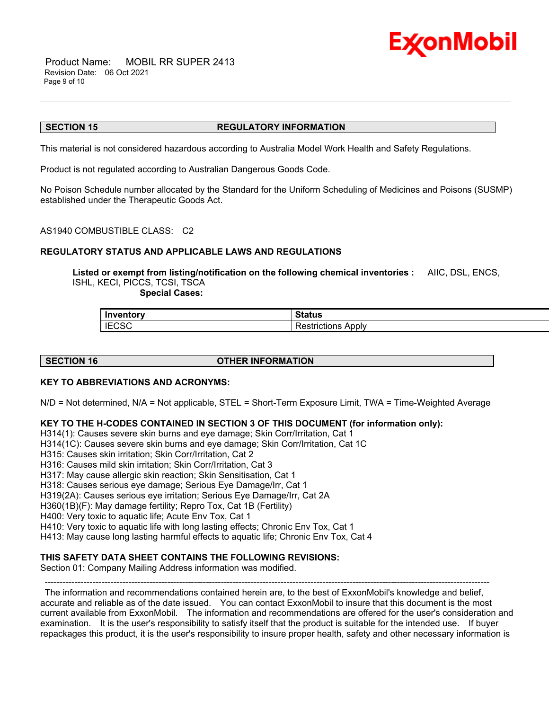

 Product Name: MOBIL RR SUPER 2413 Revision Date: 06 Oct 2021 Page 9 of 10

#### **SECTION 15 REGULATORY INFORMATION**

This material is not considered hazardous according to Australia Model Work Health and Safety Regulations.

Product is not regulated according to Australian Dangerous Goods Code.

No Poison Schedule number allocated by the Standard for the Uniform Scheduling of Medicines and Poisons (SUSMP) established under the Therapeutic Goods Act.

\_\_\_\_\_\_\_\_\_\_\_\_\_\_\_\_\_\_\_\_\_\_\_\_\_\_\_\_\_\_\_\_\_\_\_\_\_\_\_\_\_\_\_\_\_\_\_\_\_\_\_\_\_\_\_\_\_\_\_\_\_\_\_\_\_\_\_\_\_\_\_\_\_\_\_\_\_\_\_\_\_\_\_\_\_\_\_\_\_\_\_\_\_\_\_\_\_\_\_\_\_\_\_\_\_\_\_\_\_\_\_\_\_\_\_\_\_\_

AS1940 COMBUSTIBLE CLASS: C2

# **REGULATORY STATUS AND APPLICABLE LAWS AND REGULATIONS**

**Listed or exempt from listing/notification on the following chemical inventories :** AIIC, DSL, ENCS, ISHL, KECI, PICCS, TCSI, TSCA

 **Special Cases:**

| l Inventorv  | $\sim$ $\sim$ $\sim$<br>nalus  |
|--------------|--------------------------------|
| <b>IECSC</b> | Apply<br>- - -<br>Restrictions |

#### **SECTION 16 OTHER INFORMATION**

#### **KEY TO ABBREVIATIONS AND ACRONYMS:**

N/D = Not determined, N/A = Not applicable, STEL = Short-Term Exposure Limit, TWA = Time-Weighted Average

#### **KEY TO THE H-CODES CONTAINED IN SECTION 3 OF THIS DOCUMENT (for information only):**

H314(1): Causes severe skin burns and eye damage; Skin Corr/Irritation, Cat 1

- H314(1C): Causes severe skin burns and eye damage; Skin Corr/Irritation, Cat 1C
- H315: Causes skin irritation; Skin Corr/Irritation, Cat 2
- H316: Causes mild skin irritation; Skin Corr/Irritation, Cat 3
- H317: May cause allergic skin reaction; Skin Sensitisation, Cat 1
- H318: Causes serious eye damage; Serious Eye Damage/Irr, Cat 1
- H319(2A): Causes serious eye irritation; Serious Eye Damage/Irr, Cat 2A
- H360(1B)(F): May damage fertility; Repro Tox, Cat 1B (Fertility)
- H400: Very toxic to aquatic life; Acute Env Tox, Cat 1
- H410: Very toxic to aquatic life with long lasting effects; Chronic Env Tox, Cat 1
- H413: May cause long lasting harmful effects to aquatic life; Chronic Env Tox, Cat 4

# **THIS SAFETY DATA SHEET CONTAINS THE FOLLOWING REVISIONS:**

Section 01: Company Mailing Address information was modified.

-----------------------------------------------------------------------------------------------------------------------------------------------------

The information and recommendations contained herein are, to the best of ExxonMobil's knowledge and belief, accurate and reliable as of the date issued. You can contact ExxonMobil to insure that this document is the most current available from ExxonMobil. The information and recommendations are offered for the user's consideration and examination. It is the user's responsibility to satisfy itself that the product is suitable for the intended use. If buyer repackages this product, it is the user's responsibility to insure proper health, safety and other necessary information is